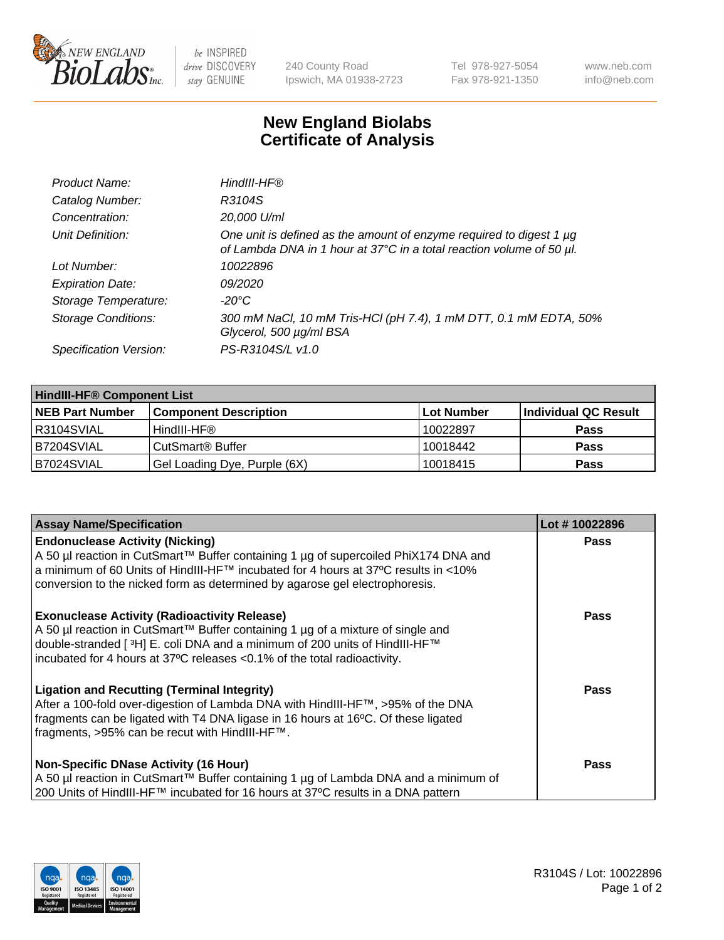

 $be$  INSPIRED drive DISCOVERY stay GENUINE

240 County Road Ipswich, MA 01938-2723 Tel 978-927-5054 Fax 978-921-1350 www.neb.com info@neb.com

## **New England Biolabs Certificate of Analysis**

| Product Name:              | HindIII-HF®                                                                                                                                      |
|----------------------------|--------------------------------------------------------------------------------------------------------------------------------------------------|
| Catalog Number:            | R3104S                                                                                                                                           |
| Concentration:             | 20,000 U/ml                                                                                                                                      |
| Unit Definition:           | One unit is defined as the amount of enzyme required to digest 1 $\mu$ g<br>of Lambda DNA in 1 hour at 37°C in a total reaction volume of 50 µl. |
| Lot Number:                | 10022896                                                                                                                                         |
| <b>Expiration Date:</b>    | 09/2020                                                                                                                                          |
| Storage Temperature:       | -20°C                                                                                                                                            |
| <b>Storage Conditions:</b> | 300 mM NaCl, 10 mM Tris-HCl (pH 7.4), 1 mM DTT, 0.1 mM EDTA, 50%<br>Glycerol, 500 µg/ml BSA                                                      |
| Specification Version:     | PS-R3104S/L v1.0                                                                                                                                 |

| <b>HindIII-HF® Component List</b> |                              |            |                      |  |  |
|-----------------------------------|------------------------------|------------|----------------------|--|--|
| <b>NEB Part Number</b>            | <b>Component Description</b> | Lot Number | Individual QC Result |  |  |
| I R3104SVIAL                      | HindIII-HF®                  | 10022897   | <b>Pass</b>          |  |  |
| IB7204SVIAL                       | CutSmart <sup>®</sup> Buffer | 10018442   | <b>Pass</b>          |  |  |
| B7024SVIAL                        | Gel Loading Dye, Purple (6X) | 10018415   | <b>Pass</b>          |  |  |

| <b>Assay Name/Specification</b>                                                                                                                                                                                                                                                                               | Lot #10022896 |
|---------------------------------------------------------------------------------------------------------------------------------------------------------------------------------------------------------------------------------------------------------------------------------------------------------------|---------------|
| <b>Endonuclease Activity (Nicking)</b><br>  A 50 µl reaction in CutSmart™ Buffer containing 1 µg of supercoiled PhiX174 DNA and<br>  a minimum of 60 Units of HindIII-HF™ incubated for 4 hours at 37ºC results in <10%<br>conversion to the nicked form as determined by agarose gel electrophoresis.        | <b>Pass</b>   |
| <b>Exonuclease Activity (Radioactivity Release)</b><br>A 50 µl reaction in CutSmart™ Buffer containing 1 µg of a mixture of single and<br>double-stranded [ <sup>3</sup> H] E. coli DNA and a minimum of 200 units of HindIII-HF™<br>incubated for 4 hours at 37°C releases <0.1% of the total radioactivity. | <b>Pass</b>   |
| <b>Ligation and Recutting (Terminal Integrity)</b><br>After a 100-fold over-digestion of Lambda DNA with HindIII-HF™, >95% of the DNA<br>fragments can be ligated with T4 DNA ligase in 16 hours at 16°C. Of these ligated<br>fragments, >95% can be recut with HindIII-HF™.                                  | Pass          |
| <b>Non-Specific DNase Activity (16 Hour)</b><br>A 50 µl reaction in CutSmart™ Buffer containing 1 µg of Lambda DNA and a minimum of<br>200 Units of HindIII-HF™ incubated for 16 hours at 37°C results in a DNA pattern                                                                                       | <b>Pass</b>   |